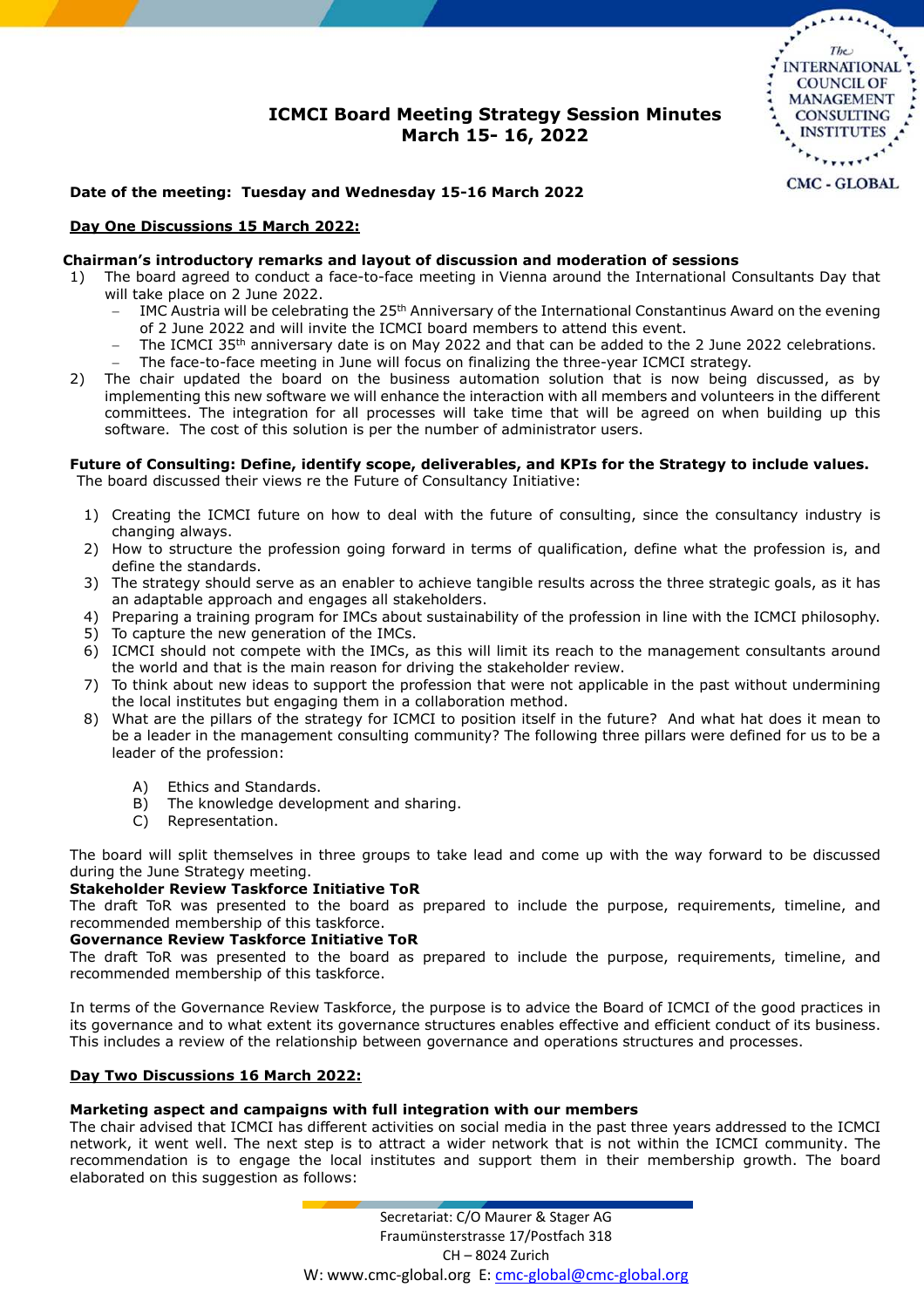# **ICMCI Board Meeting Strategy Session Minutes March 15- 16, 2022**



# **Date of the meeting: Tuesday and Wednesday 15-16 March 2022**

### **Day One Discussions 15 March 2022:**

#### **Chairman's introductory remarks and layout of discussion and moderation of sessions**

- 1) The board agreed to conduct a face-to-face meeting in Vienna around the International Consultants Day that will take place on 2 June 2022.
	- IMC Austria will be celebrating the 25th Anniversary of the International Constantinus Award on the evening of 2 June 2022 and will invite the ICMCI board members to attend this event.
	- The ICMCI 35th anniversary date is on May 2022 and that can be added to the 2 June 2022 celebrations.
	- The face-to-face meeting in June will focus on finalizing the three-year ICMCI strategy.
- 2) The chair updated the board on the business automation solution that is now being discussed, as by implementing this new software we will enhance the interaction with all members and volunteers in the different committees. The integration for all processes will take time that will be agreed on when building up this software. The cost of this solution is per the number of administrator users.

#### **Future of Consulting: Define, identify scope, deliverables, and KPIs for the Strategy to include values.** The board discussed their views re the Future of Consultancy Initiative:

- 1) Creating the ICMCI future on how to deal with the future of consulting, since the consultancy industry is changing always.
- 2) How to structure the profession going forward in terms of qualification, define what the profession is, and define the standards.
- 3) The strategy should serve as an enabler to achieve tangible results across the three strategic goals, as it has an adaptable approach and engages all stakeholders.
- 4) Preparing a training program for IMCs about sustainability of the profession in line with the ICMCI philosophy.
- 5) To capture the new generation of the IMCs.
- 6) ICMCI should not compete with the IMCs, as this will limit its reach to the management consultants around the world and that is the main reason for driving the stakeholder review.
- 7) To think about new ideas to support the profession that were not applicable in the past without undermining the local institutes but engaging them in a collaboration method.
- 8) What are the pillars of the strategy for ICMCI to position itself in the future? And what hat does it mean to be a leader in the management consulting community? The following three pillars were defined for us to be a leader of the profession:
	- A) Ethics and Standards.
	- B) The knowledge development and sharing.
	- C) Representation.

The board will split themselves in three groups to take lead and come up with the way forward to be discussed during the June Strategy meeting.

### **Stakeholder Review Taskforce Initiative ToR**

The draft ToR was presented to the board as prepared to include the purpose, requirements, timeline, and recommended membership of this taskforce.

# **Governance Review Taskforce Initiative ToR**

The draft ToR was presented to the board as prepared to include the purpose, requirements, timeline, and recommended membership of this taskforce.

In terms of the Governance Review Taskforce, the purpose is to advice the Board of ICMCI of the good practices in its governance and to what extent its governance structures enables effective and efficient conduct of its business. This includes a review of the relationship between governance and operations structures and processes.

### **Day Two Discussions 16 March 2022:**

### **Marketing aspect and campaigns with full integration with our members**

The chair advised that ICMCI has different activities on social media in the past three years addressed to the ICMCI network, it went well. The next step is to attract a wider network that is not within the ICMCI community. The recommendation is to engage the local institutes and support them in their membership growth. The board elaborated on this suggestion as follows: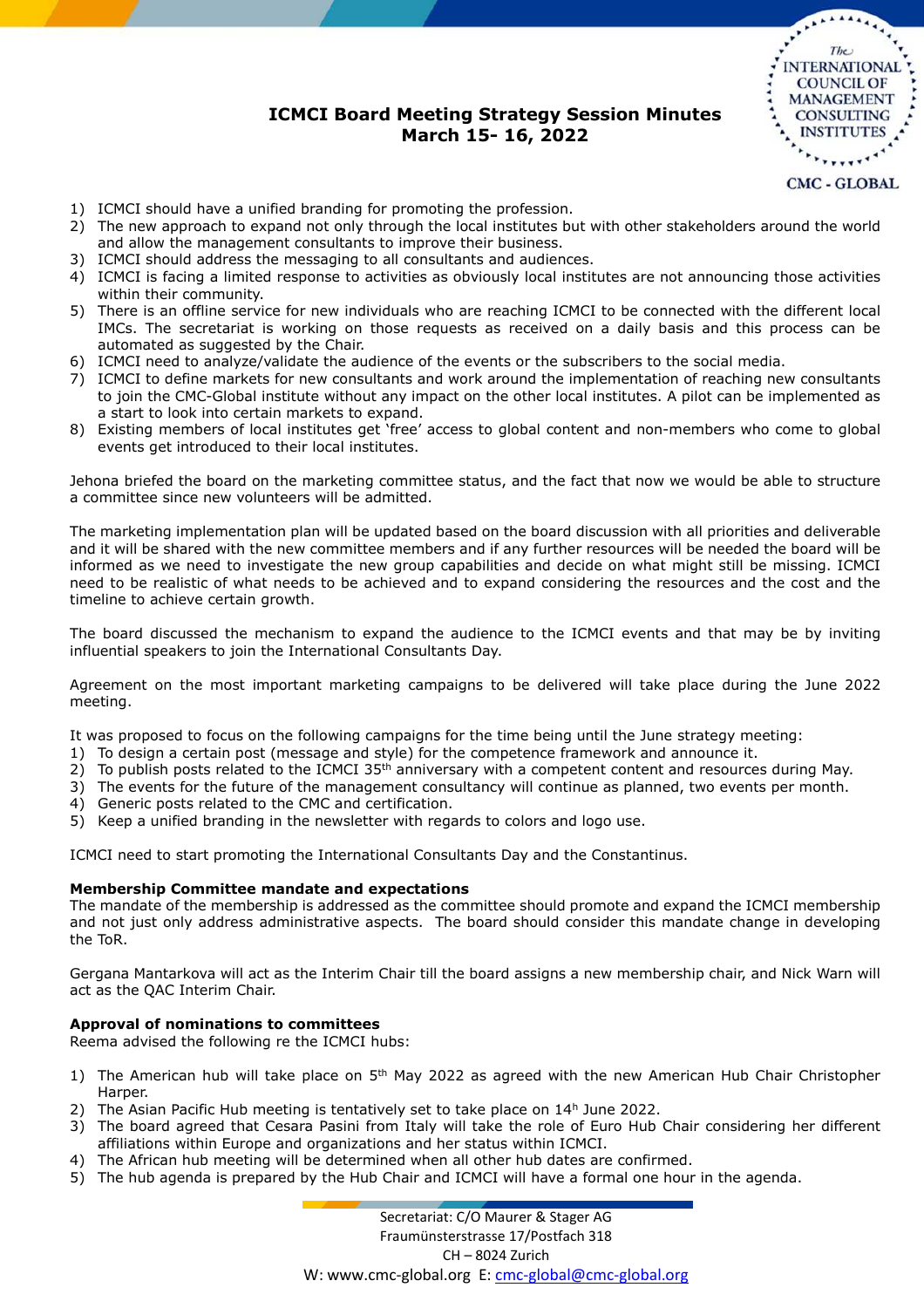# **ICMCI Board Meeting Strategy Session Minutes March 15- 16, 2022**



- 1) ICMCI should have a unified branding for promoting the profession.
- 2) The new approach to expand not only through the local institutes but with other stakeholders around the world and allow the management consultants to improve their business.
- 3) ICMCI should address the messaging to all consultants and audiences.
- 4) ICMCI is facing a limited response to activities as obviously local institutes are not announcing those activities within their community.
- 5) There is an offline service for new individuals who are reaching ICMCI to be connected with the different local IMCs. The secretariat is working on those requests as received on a daily basis and this process can be automated as suggested by the Chair.
- 6) ICMCI need to analyze/validate the audience of the events or the subscribers to the social media.
- 7) ICMCI to define markets for new consultants and work around the implementation of reaching new consultants to join the CMC-Global institute without any impact on the other local institutes. A pilot can be implemented as a start to look into certain markets to expand.
- 8) Existing members of local institutes get 'free' access to global content and non-members who come to global events get introduced to their local institutes.

Jehona briefed the board on the marketing committee status, and the fact that now we would be able to structure a committee since new volunteers will be admitted.

The marketing implementation plan will be updated based on the board discussion with all priorities and deliverable and it will be shared with the new committee members and if any further resources will be needed the board will be informed as we need to investigate the new group capabilities and decide on what might still be missing. ICMCI need to be realistic of what needs to be achieved and to expand considering the resources and the cost and the timeline to achieve certain growth.

The board discussed the mechanism to expand the audience to the ICMCI events and that may be by inviting influential speakers to join the International Consultants Day.

Agreement on the most important marketing campaigns to be delivered will take place during the June 2022 meeting.

It was proposed to focus on the following campaigns for the time being until the June strategy meeting:

- 1) To design a certain post (message and style) for the competence framework and announce it.
- 2) To publish posts related to the ICMCI  $35<sup>th</sup>$  anniversary with a competent content and resources during May.
- 3) The events for the future of the management consultancy will continue as planned, two events per month.
- 4) Generic posts related to the CMC and certification.
- 5) Keep a unified branding in the newsletter with regards to colors and logo use.

ICMCI need to start promoting the International Consultants Day and the Constantinus.

### **Membership Committee mandate and expectations**

The mandate of the membership is addressed as the committee should promote and expand the ICMCI membership and not just only address administrative aspects. The board should consider this mandate change in developing the ToR.

Gergana Mantarkova will act as the Interim Chair till the board assigns a new membership chair, and Nick Warn will act as the QAC Interim Chair.

### **Approval of nominations to committees**

Reema advised the following re the ICMCI hubs:

- 1) The American hub will take place on  $5<sup>th</sup>$  May 2022 as agreed with the new American Hub Chair Christopher Harper.
- 2) The Asian Pacific Hub meeting is tentatively set to take place on  $14<sup>h</sup>$  June 2022.
- 3) The board agreed that Cesara Pasini from Italy will take the role of Euro Hub Chair considering her different affiliations within Europe and organizations and her status within ICMCI.
- 4) The African hub meeting will be determined when all other hub dates are confirmed.
- 5) The hub agenda is prepared by the Hub Chair and ICMCI will have a formal one hour in the agenda.